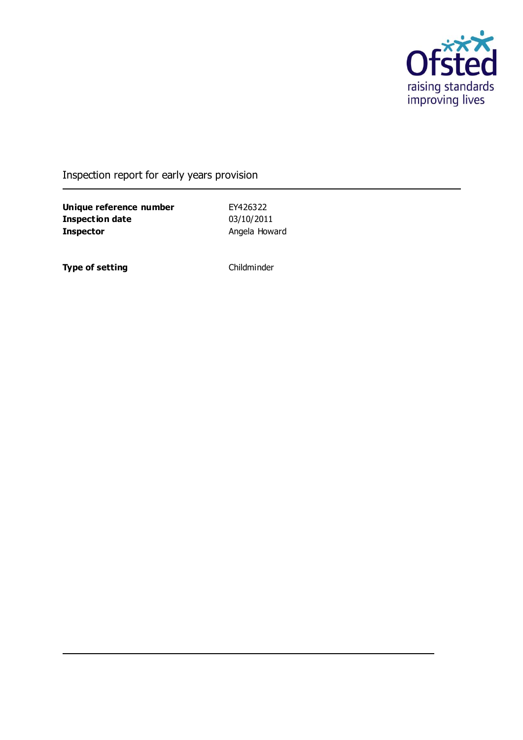

Inspection report for early years provision

**Unique reference number** EY426322<br> **Inspection date** 03/10/2011 **Inspection date Inspector Angela Howard** 

**Type of setting** Childminder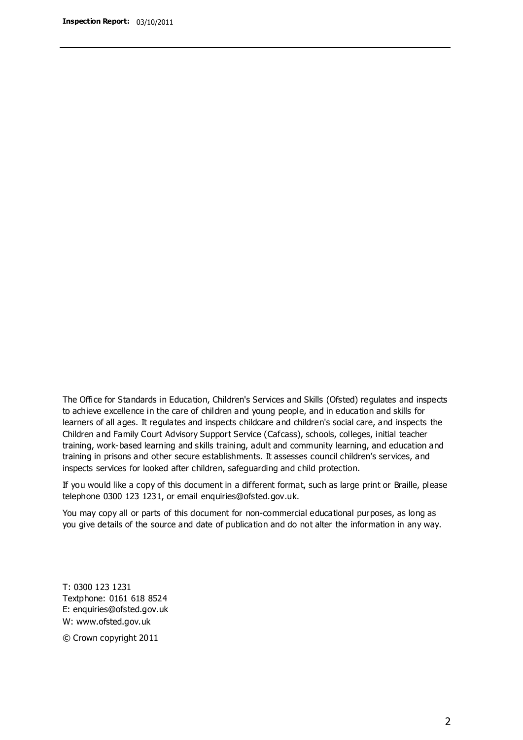The Office for Standards in Education, Children's Services and Skills (Ofsted) regulates and inspects to achieve excellence in the care of children and young people, and in education and skills for learners of all ages. It regulates and inspects childcare and children's social care, and inspects the Children and Family Court Advisory Support Service (Cafcass), schools, colleges, initial teacher training, work-based learning and skills training, adult and community learning, and education and training in prisons and other secure establishments. It assesses council children's services, and inspects services for looked after children, safeguarding and child protection.

If you would like a copy of this document in a different format, such as large print or Braille, please telephone 0300 123 1231, or email enquiries@ofsted.gov.uk.

You may copy all or parts of this document for non-commercial educational purposes, as long as you give details of the source and date of publication and do not alter the information in any way.

T: 0300 123 1231 Textphone: 0161 618 8524 E: enquiries@ofsted.gov.uk W: [www.ofsted.gov.uk](http://www.ofsted.gov.uk/)

© Crown copyright 2011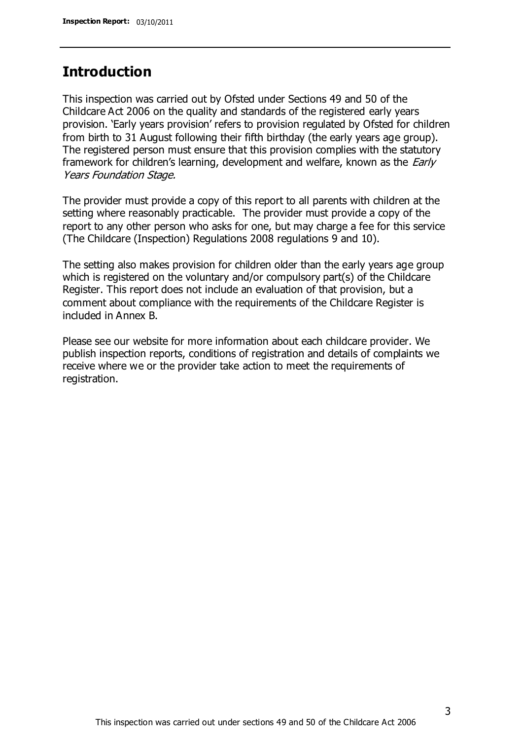## **Introduction**

This inspection was carried out by Ofsted under Sections 49 and 50 of the Childcare Act 2006 on the quality and standards of the registered early years provision. 'Early years provision' refers to provision regulated by Ofsted for children from birth to 31 August following their fifth birthday (the early years age group). The registered person must ensure that this provision complies with the statutory framework for children's learning, development and welfare, known as the *Early* Years Foundation Stage.

The provider must provide a copy of this report to all parents with children at the setting where reasonably practicable. The provider must provide a copy of the report to any other person who asks for one, but may charge a fee for this service (The Childcare (Inspection) Regulations 2008 regulations 9 and 10).

The setting also makes provision for children older than the early years age group which is registered on the voluntary and/or compulsory part(s) of the Childcare Register. This report does not include an evaluation of that provision, but a comment about compliance with the requirements of the Childcare Register is included in Annex B.

Please see our website for more information about each childcare provider. We publish inspection reports, conditions of registration and details of complaints we receive where we or the provider take action to meet the requirements of registration.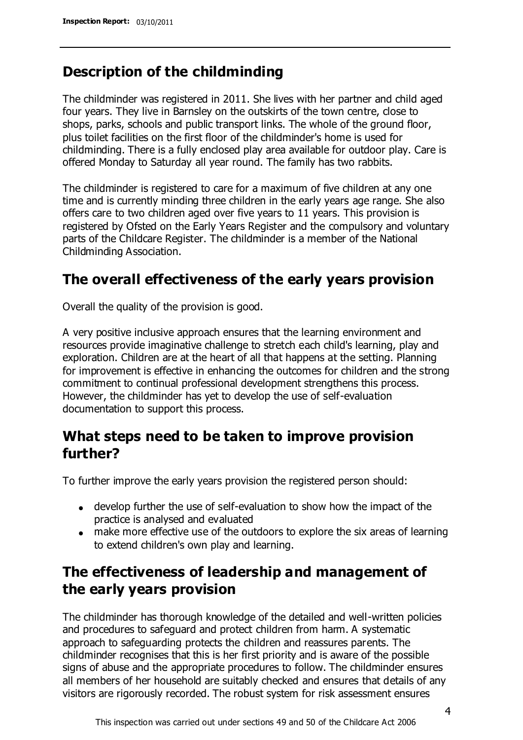## **Description of the childminding**

The childminder was registered in 2011. She lives with her partner and child aged four years. They live in Barnsley on the outskirts of the town centre, close to shops, parks, schools and public transport links. The whole of the ground floor, plus toilet facilities on the first floor of the childminder's home is used for childminding. There is a fully enclosed play area available for outdoor play. Care is offered Monday to Saturday all year round. The family has two rabbits.

The childminder is registered to care for a maximum of five children at any one time and is currently minding three children in the early years age range. She also offers care to two children aged over five years to 11 years. This provision is registered by Ofsted on the Early Years Register and the compulsory and voluntary parts of the Childcare Register. The childminder is a member of the National Childminding Association.

## **The overall effectiveness of the early years provision**

Overall the quality of the provision is good.

A very positive inclusive approach ensures that the learning environment and resources provide imaginative challenge to stretch each child's learning, play and exploration. Children are at the heart of all that happens at the setting. Planning for improvement is effective in enhancing the outcomes for children and the strong commitment to continual professional development strengthens this process. However, the childminder has yet to develop the use of self-evaluation documentation to support this process.

# **What steps need to be taken to improve provision further?**

To further improve the early years provision the registered person should:

- develop further the use of self-evaluation to show how the impact of the practice is analysed and evaluated
- make more effective use of the outdoors to explore the six areas of learning to extend children's own play and learning.

# **The effectiveness of leadership and management of the early years provision**

The childminder has thorough knowledge of the detailed and well-written policies and procedures to safeguard and protect children from harm. A systematic approach to safeguarding protects the children and reassures parents. The childminder recognises that this is her first priority and is aware of the possible signs of abuse and the appropriate procedures to follow. The childminder ensures all members of her household are suitably checked and ensures that details of any visitors are rigorously recorded. The robust system for risk assessment ensures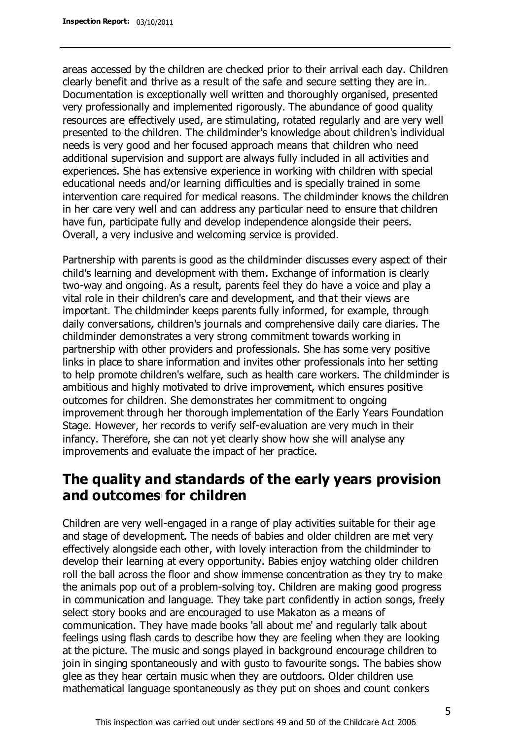areas accessed by the children are checked prior to their arrival each day. Children clearly benefit and thrive as a result of the safe and secure setting they are in. Documentation is exceptionally well written and thoroughly organised, presented very professionally and implemented rigorously. The abundance of good quality resources are effectively used, are stimulating, rotated regularly and are very well presented to the children. The childminder's knowledge about children's individual needs is very good and her focused approach means that children who need additional supervision and support are always fully included in all activities and experiences. She has extensive experience in working with children with special educational needs and/or learning difficulties and is specially trained in some intervention care required for medical reasons. The childminder knows the children in her care very well and can address any particular need to ensure that children have fun, participate fully and develop independence alongside their peers. Overall, a very inclusive and welcoming service is provided.

Partnership with parents is good as the childminder discusses every aspect of their child's learning and development with them. Exchange of information is clearly two-way and ongoing. As a result, parents feel they do have a voice and play a vital role in their children's care and development, and that their views are important. The childminder keeps parents fully informed, for example, through daily conversations, children's journals and comprehensive daily care diaries. The childminder demonstrates a very strong commitment towards working in partnership with other providers and professionals. She has some very positive links in place to share information and invites other professionals into her setting to help promote children's welfare, such as health care workers. The childminder is ambitious and highly motivated to drive improvement, which ensures positive outcomes for children. She demonstrates her commitment to ongoing improvement through her thorough implementation of the Early Years Foundation Stage. However, her records to verify self-evaluation are very much in their infancy. Therefore, she can not yet clearly show how she will analyse any improvements and evaluate the impact of her practice.

# **The quality and standards of the early years provision and outcomes for children**

Children are very well-engaged in a range of play activities suitable for their age and stage of development. The needs of babies and older children are met very effectively alongside each other, with lovely interaction from the childminder to develop their learning at every opportunity. Babies enjoy watching older children roll the ball across the floor and show immense concentration as they try to make the animals pop out of a problem-solving toy. Children are making good progress in communication and language. They take part confidently in action songs, freely select story books and are encouraged to use Makaton as a means of communication. They have made books 'all about me' and regularly talk about feelings using flash cards to describe how they are feeling when they are looking at the picture. The music and songs played in background encourage children to join in singing spontaneously and with gusto to favourite songs. The babies show glee as they hear certain music when they are outdoors. Older children use mathematical language spontaneously as they put on shoes and count conkers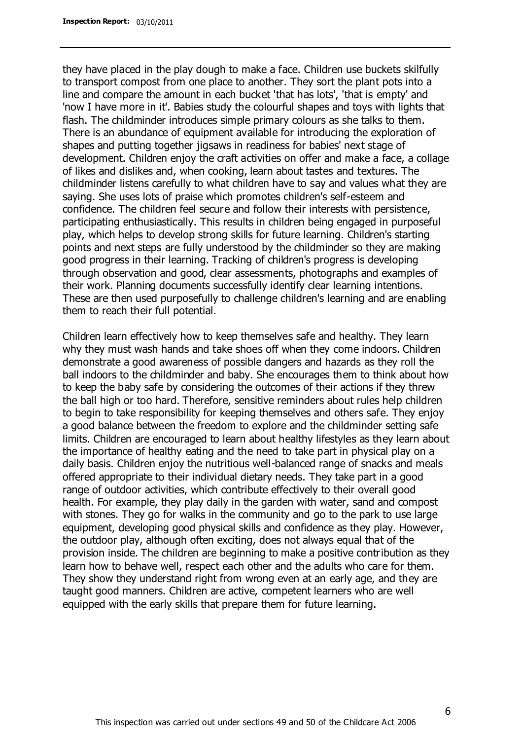they have placed in the play dough to make a face. Children use buckets skilfully to transport compost from one place to another. They sort the plant pots into a line and compare the amount in each bucket 'that has lots', 'that is empty' and 'now I have more in it'. Babies study the colourful shapes and toys with lights that flash. The childminder introduces simple primary colours as she talks to them. There is an abundance of equipment available for introducing the exploration of shapes and putting together jigsaws in readiness for babies' next stage of development. Children enjoy the craft activities on offer and make a face, a collage of likes and dislikes and, when cooking, learn about tastes and textures. The childminder listens carefully to what children have to say and values what they are saying. She uses lots of praise which promotes children's self-esteem and confidence. The children feel secure and follow their interests with persistence, participating enthusiastically. This results in children being engaged in purposeful play, which helps to develop strong skills for future learning. Children's starting points and next steps are fully understood by the childminder so they are making good progress in their learning. Tracking of children's progress is developing through observation and good, clear assessments, photographs and examples of their work. Planning documents successfully identify clear learning intentions. These are then used purposefully to challenge children's learning and are enabling them to reach their full potential.

Children learn effectively how to keep themselves safe and healthy. They learn why they must wash hands and take shoes off when they come indoors. Children demonstrate a good awareness of possible dangers and hazards as they roll the ball indoors to the childminder and baby. She encourages them to think about how to keep the baby safe by considering the outcomes of their actions if they threw the ball high or too hard. Therefore, sensitive reminders about rules help children to begin to take responsibility for keeping themselves and others safe. They enjoy a good balance between the freedom to explore and the childminder setting safe limits. Children are encouraged to learn about healthy lifestyles as they learn about the importance of healthy eating and the need to take part in physical play on a daily basis. Children enjoy the nutritious well-balanced range of snacks and meals offered appropriate to their individual dietary needs. They take part in a good range of outdoor activities, which contribute effectively to their overall good health. For example, they play daily in the garden with water, sand and compost with stones. They go for walks in the community and go to the park to use large equipment, developing good physical skills and confidence as they play. However, the outdoor play, although often exciting, does not always equal that of the provision inside. The children are beginning to make a positive contribution as they learn how to behave well, respect each other and the adults who care for them. They show they understand right from wrong even at an early age, and they are taught good manners. Children are active, competent learners who are well equipped with the early skills that prepare them for future learning.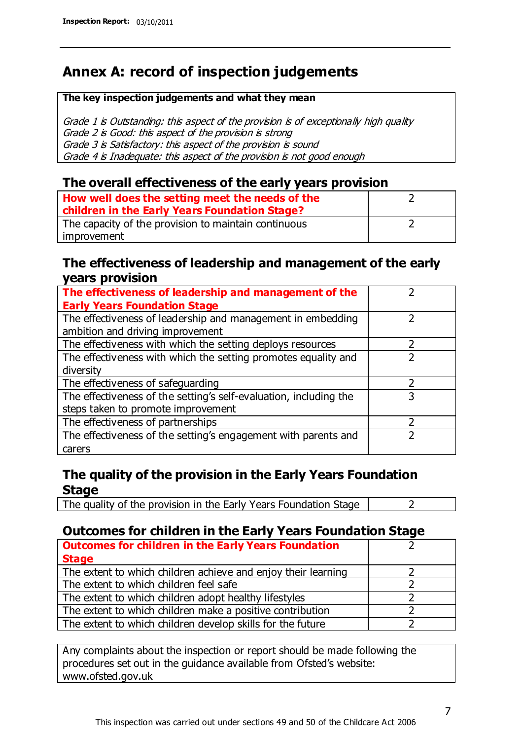# **Annex A: record of inspection judgements**

#### **The key inspection judgements and what they mean**

Grade 1 is Outstanding: this aspect of the provision is of exceptionally high quality Grade 2 is Good: this aspect of the provision is strong Grade 3 is Satisfactory: this aspect of the provision is sound Grade 4 is Inadequate: this aspect of the provision is not good enough

### **The overall effectiveness of the early years provision**

| How well does the setting meet the needs of the<br>children in the Early Years Foundation Stage? |  |
|--------------------------------------------------------------------------------------------------|--|
| The capacity of the provision to maintain continuous                                             |  |
| improvement                                                                                      |  |

### **The effectiveness of leadership and management of the early years provision**

| The effectiveness of leadership and management of the             |   |
|-------------------------------------------------------------------|---|
| <b>Early Years Foundation Stage</b>                               |   |
| The effectiveness of leadership and management in embedding       |   |
| ambition and driving improvement                                  |   |
| The effectiveness with which the setting deploys resources        |   |
| The effectiveness with which the setting promotes equality and    |   |
| diversity                                                         |   |
| The effectiveness of safeguarding                                 |   |
| The effectiveness of the setting's self-evaluation, including the | 3 |
| steps taken to promote improvement                                |   |
| The effectiveness of partnerships                                 |   |
| The effectiveness of the setting's engagement with parents and    |   |
| carers                                                            |   |

## **The quality of the provision in the Early Years Foundation Stage**

The quality of the provision in the Early Years Foundation Stage  $\vert$  2

## **Outcomes for children in the Early Years Foundation Stage**

| <b>Outcomes for children in the Early Years Foundation</b>    |  |
|---------------------------------------------------------------|--|
| <b>Stage</b>                                                  |  |
| The extent to which children achieve and enjoy their learning |  |
| The extent to which children feel safe                        |  |
| The extent to which children adopt healthy lifestyles         |  |
| The extent to which children make a positive contribution     |  |
| The extent to which children develop skills for the future    |  |

Any complaints about the inspection or report should be made following the procedures set out in the guidance available from Ofsted's website: www.ofsted.gov.uk